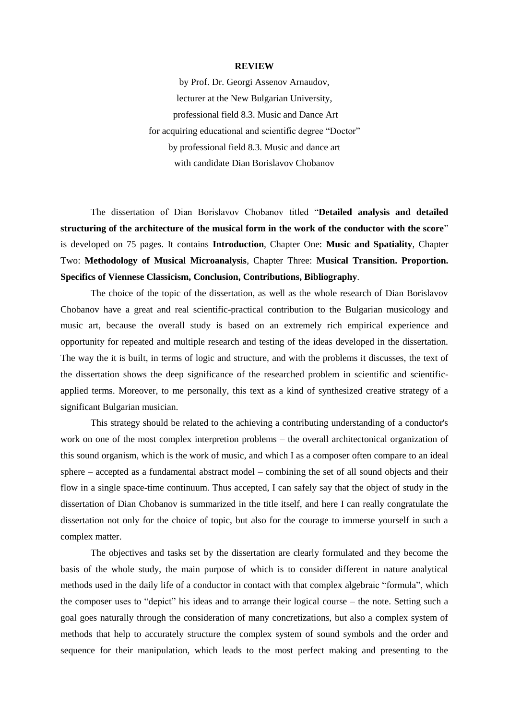## **REVIEW**

by Prof. Dr. Georgi Assenov Arnaudov, lecturer at the New Bulgarian University, professional field 8.3. Music and Dance Art for acquiring educational and scientific degree "Doctor" by professional field 8.3. Music and dance art with candidate Dian Borislavov Chobanov

The dissertation of Dian Borislavov Chobanov titled "**Detailed analysis and detailed structuring of the architecture of the musical form in the work of the conductor with the score**" is developed on 75 pages. It contains **Introduction**, Chapter One: **Music and Spatiality**, Chapter Two: **Methodology of Musical Microanalysis**, Chapter Three: **Musical Transition. Proportion. Specifics of Viennese Classicism, Conclusion, Contributions, Bibliography**.

The choice of the topic of the dissertation, as well as the whole research of Dian Borislavov Chobanov have a great and real scientific-practical contribution to the Bulgarian musicology and music art, because the overall study is based on an extremely rich empirical experience and opportunity for repeated and multiple research and testing of the ideas developed in the dissertation. The way the it is built, in terms of logic and structure, and with the problems it discusses, the text of the dissertation shows the deep significance of the researched problem in scientific and scientificapplied terms. Moreover, to me personally, this text as a kind of synthesized creative strategy of a significant Bulgarian musician.

This strategy should be related to the achieving a contributing understanding of a conductor's work on one of the most complex interpretion problems – the overall architectonical organization of this sound organism, which is the work of music, and which I as a composer often compare to an ideal sphere – accepted as a fundamental abstract model – combining the set of all sound objects and their flow in a single space-time continuum. Thus accepted, I can safely say that the object of study in the dissertation of Dian Chobanov is summarized in the title itself, and here I can really congratulate the dissertation not only for the choice of topic, but also for the courage to immerse yourself in such a complex matter.

The objectives and tasks set by the dissertation are clearly formulated and they become the basis of the whole study, the main purpose of which is to consider different in nature analytical methods used in the daily life of a conductor in contact with that complex algebraic "formula", which the composer uses to "depict" his ideas and to arrange their logical course – the note. Setting such a goal goes naturally through the consideration of many concretizations, but also a complex system of methods that help to accurately structure the complex system of sound symbols and the order and sequence for their manipulation, which leads to the most perfect making and presenting to the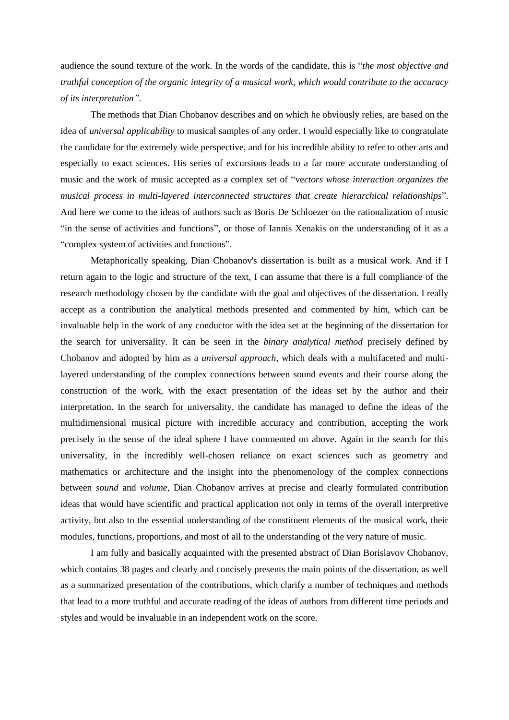audience the sound texture of the work. In the words of the candidate, this is "*the most objective and truthful conception of the organic integrity of a musical work, which would contribute to the accuracy of its interpretation"*.

The methods that Dian Chobanov describes and on which he obviously relies, are based on the idea of *universal applicability* to musical samples of any order. I would especially like to congratulate the candidate for the extremely wide perspective, and for his incredible ability to refer to other arts and especially to exact sciences. His series of excursions leads to a far more accurate understanding of music and the work of music accepted as a complex set of "ve*ctors whose interaction organizes the musical process in multi-layered interconnected structures that create hierarchical relationships*". And here we come to the ideas of authors such as Boris De Schloezer on the rationalization of music "in the sense of activities and functions", or those of Iannis Xenakis on the understanding of it as a "complex system of activities and functions".

Metaphorically speaking, Dian Chobanov's dissertation is built as a musical work. And if I return again to the logic and structure of the text, I can assume that there is a full compliance of the research methodology chosen by the candidate with the goal and objectives of the dissertation. I really accept as a contribution the analytical methods presented and commented by him, which can be invaluable help in the work of any conductor with the idea set at the beginning of the dissertation for the search for universality. It can be seen in the *binary analytical method* precisely defined by Chobanov and adopted by him as a *universal approach*, which deals with a multifaceted and multilayered understanding of the complex connections between sound events and their course along the construction of the work, with the exact presentation of the ideas set by the author and their interpretation. In the search for universality, the candidate has managed to define the ideas of the multidimensional musical picture with incredible accuracy and contribution, accepting the work precisely in the sense of the ideal sphere I have commented on above. Again in the search for this universality, in the incredibly well-chosen reliance on exact sciences such as geometry and mathematics or architecture and the insight into the phenomenology of the complex connections between *sound* and *volume*, Dian Chobanov arrives at precise and clearly formulated contribution ideas that would have scientific and practical application not only in terms of the overall interpretive activity, but also to the essential understanding of the constituent elements of the musical work, their modules, functions, proportions, and most of all to the understanding of the very nature of music.

I am fully and basically acquainted with the presented abstract of Dian Borislavov Chobanov, which contains 38 pages and clearly and concisely presents the main points of the dissertation, as well as a summarized presentation of the contributions, which clarify a number of techniques and methods that lead to a more truthful and accurate reading of the ideas of authors from different time periods and styles and would be invaluable in an independent work on the score.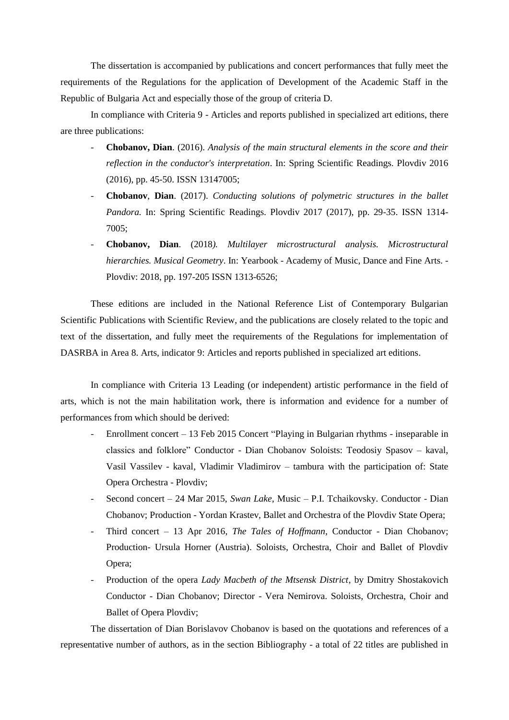The dissertation is accompanied by publications and concert performances that fully meet the requirements of the Regulations for the application of Development of the Academic Staff in the Republic of Bulgaria Act and especially those of the group of criteria D.

In compliance with Criteria 9 - Articles and reports published in specialized art editions, there are three publications:

- **Chobanov, Dian**. (2016). *Analysis of the main structural elements in the score and their reflection in the conductor's interpretation*. In: Spring Scientific Readings. Plovdiv 2016 (2016), pp. 45-50. ISSN 13147005;
- **Chobanov**, **Dian**. (2017). *Conducting solutions of polymetric structures in the ballet Pandora.* In: Spring Scientific Readings. Plovdiv 2017 (2017), pp. 29-35. ISSN 1314- 7005;
- **Chobanov, Dian**. (2018*). Multilayer microstructural analysis. Microstructural hierarchies. Musical Geometry*. In: Yearbook - Academy of Music, Dance and Fine Arts. - Plovdiv: 2018, pp. 197-205 ISSN 1313-6526;

These editions are included in the National Reference List of Contemporary Bulgarian Scientific Publications with Scientific Review, and the publications are closely related to the topic and text of the dissertation, and fully meet the requirements of the Regulations for implementation of DASRBA in Area 8. Arts, indicator 9: Articles and reports published in specialized art editions.

In compliance with Criteria 13 Leading (or independent) artistic performance in the field of arts, which is not the main habilitation work, there is information and evidence for a number of performances from which should be derived:

- Enrollment concert 13 Feb 2015 Concert "Playing in Bulgarian rhythms inseparable in classics and folklore" Conductor - Dian Chobanov Soloists: Teodosiy Spasov – kaval, Vasil Vassilev - kaval, Vladimir Vladimirov – tambura with the participation of: State Opera Orchestra - Plovdiv;
- Second concert 24 Mar 2015, *Swan Lake,* Music P.I. Tchaikovsky. Conductor Dian Chobanov; Production - Yordan Krastev, Ballet and Orchestra of the Plovdiv State Opera;
- Third concert 13 Apr 2016, *The Tales of Hoffmann*, Conductor Dian Chobanov; Production- Ursula Horner (Austria). Soloists, Orchestra, Choir and Ballet of Plovdiv Opera;
- Production of the opera *Lady Macbeth of the Mtsensk District*, by Dmitry Shostakovich Conductor - Dian Chobanov; Director - Vera Nemirova. Soloists, Orchestra, Choir and Ballet of Opera Plovdiv;

The dissertation of Dian Borislavov Chobanov is based on the quotations and references of a representative number of authors, as in the section Bibliography - a total of 22 titles are published in